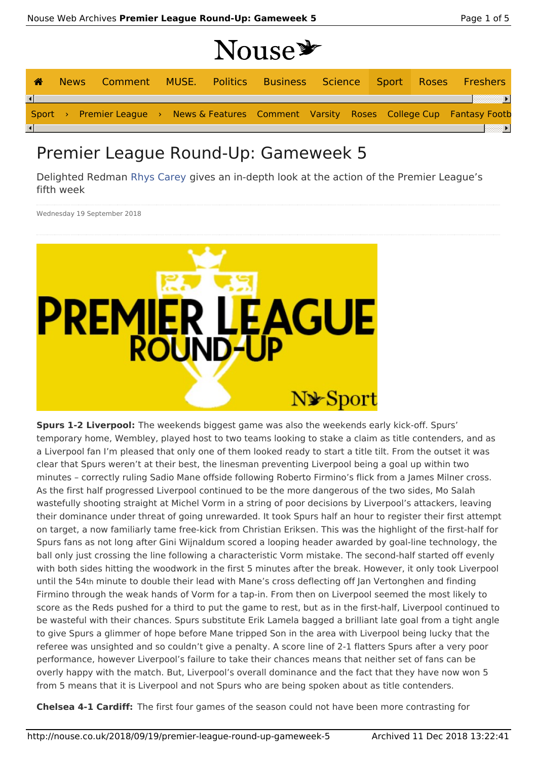| Nouse <sup>y</sup> |  |
|--------------------|--|
|--------------------|--|

| ₩                      | News |                                                                                          |  |  |  |  | Comment MUSE. Politics Business Science Sport Roses Freshers |
|------------------------|------|------------------------------------------------------------------------------------------|--|--|--|--|--------------------------------------------------------------|
| $\left  \cdot \right $ |      | Sport > Premier League > News & Features Comment Varsity Roses College Cup Fantasy Footb |  |  |  |  |                                                              |
| ┚                      |      |                                                                                          |  |  |  |  |                                                              |

# Premier League Round-Up: Gameweek 5

Delighted Redman Rhys Carey gives an in-depth look at the action of the Premier League's fifth week

Wednesday 19 September 2018



**Spurs 1-2 Liverpool:** The weekends biggest game was also the weekends early kick-off. Spurs' temporary home, Wembley, played host to two teams looking to stake a claim as title contenders, and as a Liverpool fan I'm pleased that only one of them looked ready to start a title tilt. From the outset it was clear that Spurs weren't at their best, the linesman preventing Liverpool being a goal up within two minutes – correctly ruling Sadio Mane offside following Roberto Firmino's flick from a James Milner cross. As the first half progressed Liverpool continued to be the more dangerous of the two sides, Mo Salah wastefully shooting straight at Michel Vorm in a string of poor decisions by Liverpool's attackers, leaving their dominance under threat of going unrewarded. It took Spurs half an hour to register their first attempt on target, a now familiarly tame free-kick from Christian Eriksen. This was the highlight of the first-half for Spurs fans as not long after Gini Wijnaldum scored a looping header awarded by goal-line technology, the ball only just crossing the line following a characteristic Vorm mistake. The second-half started off evenly with both sides hitting the woodwork in the first 5 minutes after the break. However, it only took Liverpool until the 54th minute to double their lead with Mane's cross deflecting off Jan Vertonghen and finding Firmino through the weak hands of Vorm for a tap-in. From then on Liverpool seemed the most likely to score as the Reds pushed for a third to put the game to rest, but as in the first-half, Liverpool continued to be wasteful with their chances. Spurs substitute Erik Lamela bagged a brilliant late goal from a tight angle to give Spurs a glimmer of hope before Mane tripped Son in the area with Liverpool being lucky that the referee was unsighted and so couldn't give a penalty. A score line of 2-1 flatters Spurs after a very poor performance, however Liverpool's failure to take their chances means that neither set of fans can be overly happy with the match. But, Liverpool's overall dominance and the fact that they have now won 5 from 5 means that it is Liverpool and not Spurs who are being spoken about as title contenders.

**Chelsea 4-1 Cardiff:** The first four games of the season could not have been more contrasting for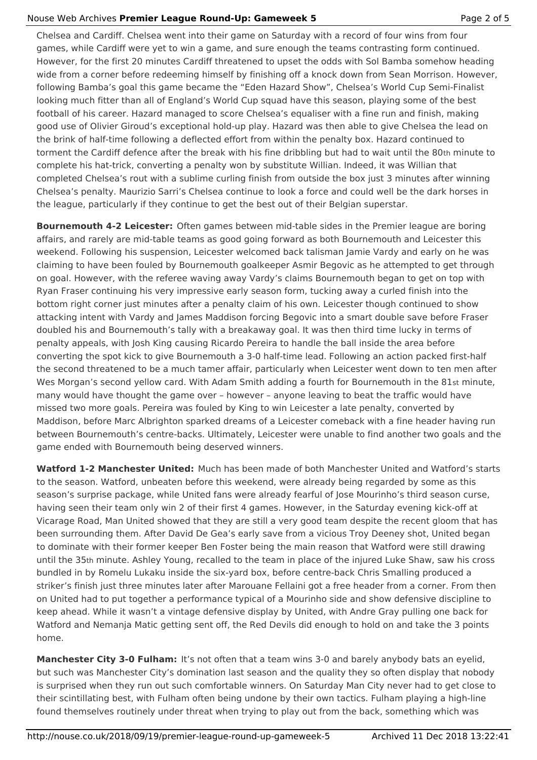### Nouse Web Archives **Premier League Round-Up: Gameweek 5** Page 2 of 5

Chelsea and Cardiff. Chelsea went into their game on Saturday with a record of four wins from four games, while Cardiff were yet to win a game, and sure enough the teams contrasting form continued. However, for the first 20 minutes Cardiff threatened to upset the odds with Sol Bamba somehow heading wide from a corner before redeeming himself by finishing off a knock down from Sean Morrison. However, following Bamba's goal this game became the "Eden Hazard Show", Chelsea's World Cup Semi-Finalist looking much fitter than all of England's World Cup squad have this season, playing some of the best football of his career. Hazard managed to score Chelsea's equaliser with a fine run and finish, making good use of Olivier Giroud's exceptional hold-up play. Hazard was then able to give Chelsea the lead on the brink of half-time following a deflected effort from within the penalty box. Hazard continued to torment the Cardiff defence after the break with his fine dribbling but had to wait until the 80th minute to complete his hat-trick, converting a penalty won by substitute Willian. Indeed, it was Willian that completed Chelsea's rout with a sublime curling finish from outside the box just 3 minutes after winning Chelsea's penalty. Maurizio Sarri's Chelsea continue to look a force and could well be the dark horses in the league, particularly if they continue to get the best out of their Belgian superstar.

**Bournemouth 4-2 Leicester:** Often games between mid-table sides in the Premier league are boring affairs, and rarely are mid-table teams as good going forward as both Bournemouth and Leicester this weekend. Following his suspension, Leicester welcomed back talisman Jamie Vardy and early on he was claiming to have been fouled by Bournemouth goalkeeper Asmir Begovic as he attempted to get through on goal. However, with the referee waving away Vardy's claims Bournemouth began to get on top with Ryan Fraser continuing his very impressive early season form, tucking away a curled finish into the bottom right corner just minutes after a penalty claim of his own. Leicester though continued to show attacking intent with Vardy and James Maddison forcing Begovic into a smart double save before Fraser doubled his and Bournemouth's tally with a breakaway goal. It was then third time lucky in terms of penalty appeals, with Josh King causing Ricardo Pereira to handle the ball inside the area before converting the spot kick to give Bournemouth a 3-0 half-time lead. Following an action packed first-half the second threatened to be a much tamer affair, particularly when Leicester went down to ten men after Wes Morgan's second yellow card. With Adam Smith adding a fourth for Bournemouth in the 81st minute, many would have thought the game over – however – anyone leaving to beat the traffic would have missed two more goals. Pereira was fouled by King to win Leicester a late penalty, converted by Maddison, before Marc Albrighton sparked dreams of a Leicester comeback with a fine header having run between Bournemouth's centre-backs. Ultimately, Leicester were unable to find another two goals and the game ended with Bournemouth being deserved winners.

**Watford 1-2 Manchester United:** Much has been made of both Manchester United and Watford's starts to the season. Watford, unbeaten before this weekend, were already being regarded by some as this season's surprise package, while United fans were already fearful of Jose Mourinho's third season curse, having seen their team only win 2 of their first 4 games. However, in the Saturday evening kick-off at Vicarage Road, Man United showed that they are still a very good team despite the recent gloom that has been surrounding them. After David De Gea's early save from a vicious Troy Deeney shot, United began to dominate with their former keeper Ben Foster being the main reason that Watford were still drawing until the 35th minute. Ashley Young, recalled to the team in place of the injured Luke Shaw, saw his cross bundled in by Romelu Lukaku inside the six-yard box, before centre-back Chris Smalling produced a striker's finish just three minutes later after Marouane Fellaini got a free header from a corner. From then on United had to put together a performance typical of a Mourinho side and show defensive discipline to keep ahead. While it wasn't a vintage defensive display by United, with Andre Gray pulling one back for Watford and Nemanja Matic getting sent off, the Red Devils did enough to hold on and take the 3 points home.

**Manchester City 3-0 Fulham:** It's not often that a team wins 3-0 and barely anybody bats an eyelid, but such was Manchester City's domination last season and the quality they so often display that nobody is surprised when they run out such comfortable winners. On Saturday Man City never had to get close to their scintillating best, with Fulham often being undone by their own tactics. Fulham playing a high-line found themselves routinely under threat when trying to play out from the back, something which was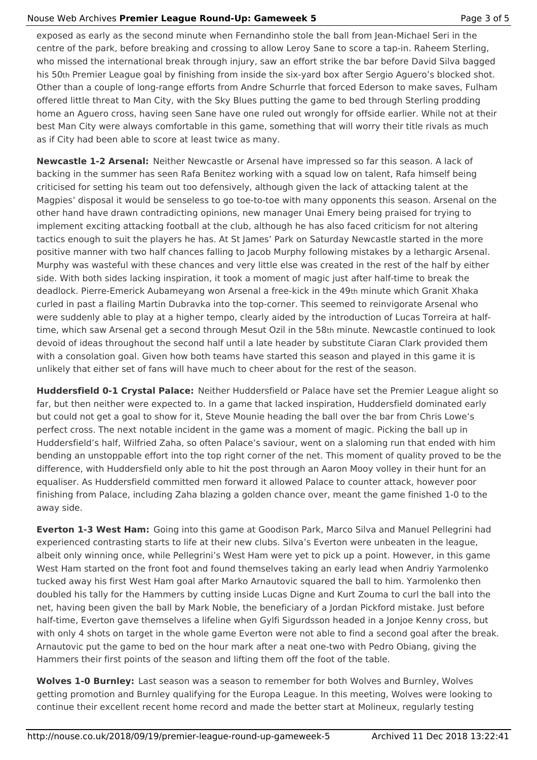### Nouse Web Archives **Premier League Round-Up: Gameweek 5** Page 3 of 5

exposed as early as the second minute when Fernandinho stole the ball from Jean-Michael Seri in the centre of the park, before breaking and crossing to allow Leroy Sane to score a tap-in. Raheem Sterling, who missed the international break through injury, saw an effort strike the bar before David Silva bagged his 50th Premier League goal by finishing from inside the six-yard box after Sergio Aguero's blocked shot. Other than a couple of long-range efforts from Andre Schurrle that forced Ederson to make saves, Fulham offered little threat to Man City, with the Sky Blues putting the game to bed through Sterling prodding home an Aguero cross, having seen Sane have one ruled out wrongly for offside earlier. While not at their best Man City were always comfortable in this game, something that will worry their title rivals as much as if City had been able to score at least twice as many.

**Newcastle 1-2 Arsenal:** Neither Newcastle or Arsenal have impressed so far this season. A lack of backing in the summer has seen Rafa Benitez working with a squad low on talent, Rafa himself being criticised for setting his team out too defensively, although given the lack of attacking talent at the Magpies' disposal it would be senseless to go toe-to-toe with many opponents this season. Arsenal on the other hand have drawn contradicting opinions, new manager Unai Emery being praised for trying to implement exciting attacking football at the club, although he has also faced criticism for not altering tactics enough to suit the players he has. At St James' Park on Saturday Newcastle started in the more positive manner with two half chances falling to Jacob Murphy following mistakes by a lethargic Arsenal. Murphy was wasteful with these chances and very little else was created in the rest of the half by either side. With both sides lacking inspiration, it took a moment of magic just after half-time to break the deadlock. Pierre-Emerick Aubameyang won Arsenal a free-kick in the 49th minute which Granit Xhaka curled in past a flailing Martin Dubravka into the top-corner. This seemed to reinvigorate Arsenal who were suddenly able to play at a higher tempo, clearly aided by the introduction of Lucas Torreira at halftime, which saw Arsenal get a second through Mesut Ozil in the 58th minute. Newcastle continued to look devoid of ideas throughout the second half until a late header by substitute Ciaran Clark provided them with a consolation goal. Given how both teams have started this season and played in this game it is unlikely that either set of fans will have much to cheer about for the rest of the season.

**Huddersfield 0-1 Crystal Palace:** Neither Huddersfield or Palace have set the Premier League alight so far, but then neither were expected to. In a game that lacked inspiration, Huddersfield dominated early but could not get a goal to show for it, Steve Mounie heading the ball over the bar from Chris Lowe's perfect cross. The next notable incident in the game was a moment of magic. Picking the ball up in Huddersfield's half, Wilfried Zaha, so often Palace's saviour, went on a slaloming run that ended with him bending an unstoppable effort into the top right corner of the net. This moment of quality proved to be the difference, with Huddersfield only able to hit the post through an Aaron Mooy volley in their hunt for an equaliser. As Huddersfield committed men forward it allowed Palace to counter attack, however poor finishing from Palace, including Zaha blazing a golden chance over, meant the game finished 1-0 to the away side.

**Everton 1-3 West Ham:** Going into this game at Goodison Park, Marco Silva and Manuel Pellegrini had experienced contrasting starts to life at their new clubs. Silva's Everton were unbeaten in the league, albeit only winning once, while Pellegrini's West Ham were yet to pick up a point. However, in this game West Ham started on the front foot and found themselves taking an early lead when Andriy Yarmolenko tucked away his first West Ham goal after Marko Arnautovic squared the ball to him. Yarmolenko then doubled his tally for the Hammers by cutting inside Lucas Digne and Kurt Zouma to curl the ball into the net, having been given the ball by Mark Noble, the beneficiary of a Jordan Pickford mistake. Just before half-time, Everton gave themselves a lifeline when Gylfi Sigurdsson headed in a Jonjoe Kenny cross, but with only 4 shots on target in the whole game Everton were not able to find a second goal after the break. Arnautovic put the game to bed on the hour mark after a neat one-two with Pedro Obiang, giving the Hammers their first points of the season and lifting them off the foot of the table.

**Wolves 1-0 Burnley:** Last season was a season to remember for both Wolves and Burnley, Wolves getting promotion and Burnley qualifying for the Europa League. In this meeting, Wolves were looking to continue their excellent recent home record and made the better start at Molineux, regularly testing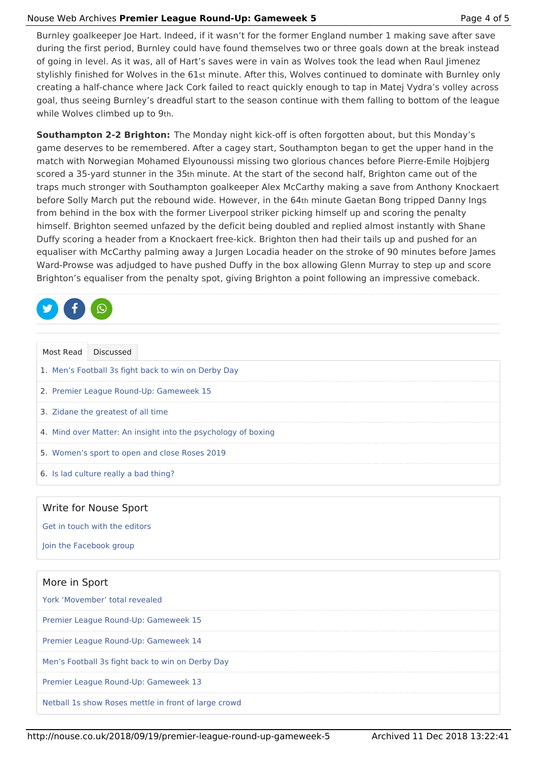#### Nouse Web Archives **Premier League Round-Up: Gameweek 5** Page 4 of 5

Burnley goalkeeper Joe Hart. Indeed, if it wasn't for the former England number 1 making save after save during the first period, Burnley could have found themselves two or three goals down at the break instead of going in level. As it was, all of Hart's saves were in vain as Wolves took the lead when Raul Jimenez stylishly finished for Wolves in the 61st minute. After this, Wolves continued to dominate with Burnley only creating a half-chance where Jack Cork failed to react quickly enough to tap in Matej Vydra's volley across goal, thus seeing Burnley's dreadful start to the season continue with them falling to bottom of the league while Wolves climbed up to 9th.

**Southampton 2-2 Brighton:** The Monday night kick-off is often forgotten about, but this Monday's game deserves to be remembered. After a cagey start, Southampton began to get the upper hand in the match with Norwegian Mohamed Elyounoussi missing two glorious chances before Pierre-Emile Hojbjerg scored a 35-yard stunner in the 35th minute. At the start of the second half, Brighton came out of the traps much stronger with Southampton goalkeeper Alex McCarthy making a save from Anthony Knockaert before Solly March put the rebound wide. However, in the 64th minute Gaetan Bong tripped Danny Ings from behind in the box with the former Liverpool striker picking himself up and scoring the penalty himself. Brighton seemed unfazed by the deficit being doubled and replied almost instantly with Shane Duffy scoring a header from a Knockaert free-kick. Brighton then had their tails up and pushed for an equaliser with McCarthy palming away a Jurgen Locadia header on the stroke of 90 minutes before James Ward-Prowse was adjudged to have pushed Duffy in the box allowing Glenn Murray to step up and score Brighton's equaliser from the penalty spot, giving Brighton a point following an impressive comeback.



| Most Read                               | Discussed                                                     |  |  |  |
|-----------------------------------------|---------------------------------------------------------------|--|--|--|
|                                         | 1. Men's Football 3s fight back to win on Derby Day           |  |  |  |
| 2. Premier League Round-Up: Gameweek 15 |                                                               |  |  |  |
|                                         | 3. Zidane the greatest of all time                            |  |  |  |
|                                         | 4. Mind over Matter: An insight into the psychology of boxing |  |  |  |
|                                         | 5. Women's sport to open and close Roses 2019                 |  |  |  |
|                                         | 6. Is lad culture really a bad thing?                         |  |  |  |

## Write for Nouse Sport

Get in touch with the editors

Join the Facebook group

| More in Sport                                        |
|------------------------------------------------------|
| York 'Movember' total revealed                       |
| Premier League Round-Up: Gameweek 15                 |
| Premier League Round-Up: Gameweek 14                 |
| Men's Football 3s fight back to win on Derby Day     |
| Premier League Round-Up: Gameweek 13                 |
| Netball 1s show Roses mettle in front of large crowd |